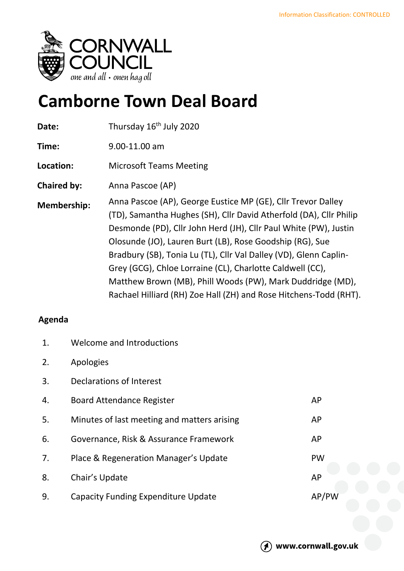

## **Camborne Town Deal Board**

| Date:              | Thursday 16 <sup>th</sup> July 2020                                                                                                                                                                                                                                                                                                                                                                                                                                                                                                     |
|--------------------|-----------------------------------------------------------------------------------------------------------------------------------------------------------------------------------------------------------------------------------------------------------------------------------------------------------------------------------------------------------------------------------------------------------------------------------------------------------------------------------------------------------------------------------------|
| Time:              | 9.00-11.00 am                                                                                                                                                                                                                                                                                                                                                                                                                                                                                                                           |
| Location:          | <b>Microsoft Teams Meeting</b>                                                                                                                                                                                                                                                                                                                                                                                                                                                                                                          |
| <b>Chaired by:</b> | Anna Pascoe (AP)                                                                                                                                                                                                                                                                                                                                                                                                                                                                                                                        |
| <b>Membership:</b> | Anna Pascoe (AP), George Eustice MP (GE), Cllr Trevor Dalley<br>(TD), Samantha Hughes (SH), Cllr David Atherfold (DA), Cllr Philip<br>Desmonde (PD), Cllr John Herd (JH), Cllr Paul White (PW), Justin<br>Olosunde (JO), Lauren Burt (LB), Rose Goodship (RG), Sue<br>Bradbury (SB), Tonia Lu (TL), Cllr Val Dalley (VD), Glenn Caplin-<br>Grey (GCG), Chloe Lorraine (CL), Charlotte Caldwell (CC),<br>Matthew Brown (MB), Phill Woods (PW), Mark Duddridge (MD),<br>Rachael Hilliard (RH) Zoe Hall (ZH) and Rose Hitchens-Todd (RHT). |

## **Agenda**

| $\mathbf{1}$ . | Welcome and Introductions                   |           |
|----------------|---------------------------------------------|-----------|
| 2.             | Apologies                                   |           |
| 3.             | Declarations of Interest                    |           |
| 4.             | <b>Board Attendance Register</b>            | AP        |
| 5.             | Minutes of last meeting and matters arising | <b>AP</b> |
| 6.             | Governance, Risk & Assurance Framework      | AP        |
| 7.             | Place & Regeneration Manager's Update       | <b>PW</b> |
| 8.             | Chair's Update                              | AP        |
| 9.             | <b>Capacity Funding Expenditure Update</b>  | AP/PW     |